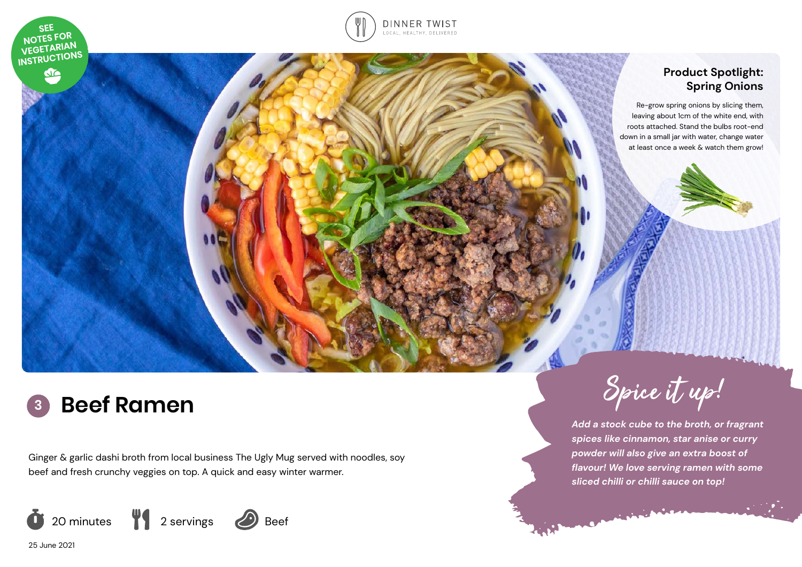

S



## **Product Spotlight: Spring Onions**

Re-grow spring onions by slicing them, leaving about 1cm of the white end, with roots attached. Stand the bulbs root-end down in a small jar with water, change water at least once a week & watch them grow!

# **<sup>3</sup> Beef Ramen**

Ginger & garlic dashi broth from local business The Ugly Mug served with noodles, soy beef and fresh crunchy veggies on top. A quick and easy winter warmer.



25 June 2021



*Add a stock cube to the broth, or fragrant spices like cinnamon, star anise or curry powder will also give an extra boost of flavour! We love serving ramen with some sliced chilli or chilli sauce on top!*